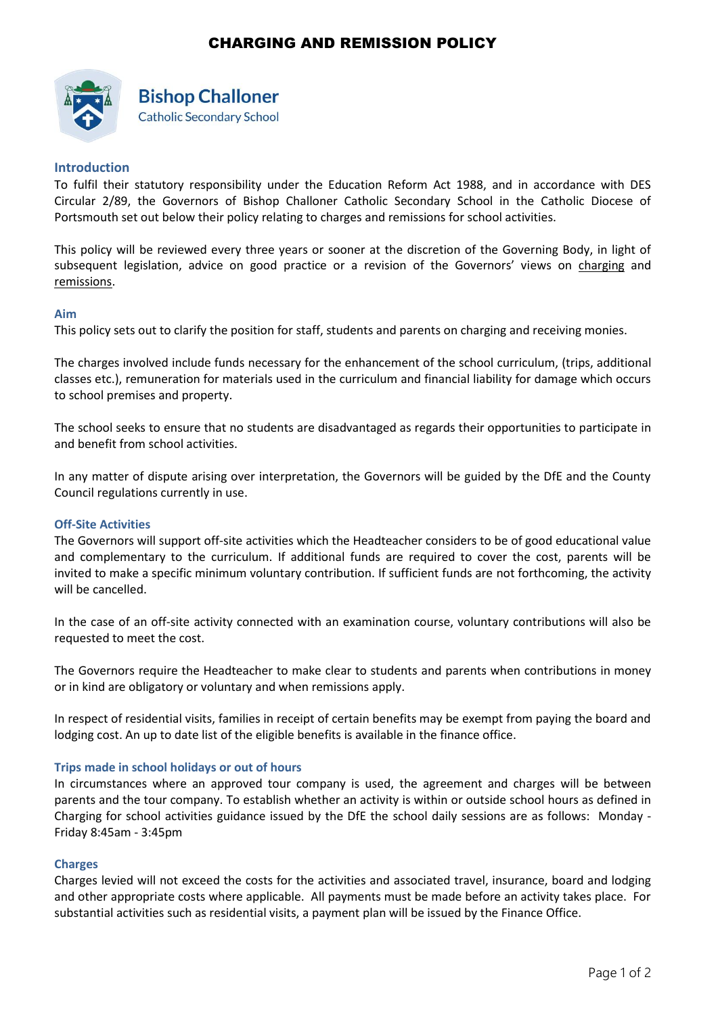# CHARGING AND REMISSION POLICY



# **Bishop Challoner Catholic Secondary School**

**Introduction**

To fulfil their statutory responsibility under the Education Reform Act 1988, and in accordance with DES Circular 2/89, the Governors of Bishop Challoner Catholic Secondary School in the Catholic Diocese of Portsmouth set out below their policy relating to charges and remissions for school activities.

This policy will be reviewed every three years or sooner at the discretion of the Governing Body, in light of subsequent legislation, advice on good practice or a revision of the Governors' views on charging and remissions.

## **Aim**

This policy sets out to clarify the position for staff, students and parents on charging and receiving monies.

The charges involved include funds necessary for the enhancement of the school curriculum, (trips, additional classes etc.), remuneration for materials used in the curriculum and financial liability for damage which occurs to school premises and property.

The school seeks to ensure that no students are disadvantaged as regards their opportunities to participate in and benefit from school activities.

In any matter of dispute arising over interpretation, the Governors will be guided by the DfE and the County Council regulations currently in use.

## **Off-Site Activities**

The Governors will support off-site activities which the Headteacher considers to be of good educational value and complementary to the curriculum. If additional funds are required to cover the cost, parents will be invited to make a specific minimum voluntary contribution. If sufficient funds are not forthcoming, the activity will be cancelled.

In the case of an off-site activity connected with an examination course, voluntary contributions will also be requested to meet the cost.

The Governors require the Headteacher to make clear to students and parents when contributions in money or in kind are obligatory or voluntary and when remissions apply.

In respect of residential visits, families in receipt of certain benefits may be exempt from paying the board and lodging cost. An up to date list of the eligible benefits is available in the finance office.

## **Trips made in school holidays or out of hours**

In circumstances where an approved tour company is used, the agreement and charges will be between parents and the tour company. To establish whether an activity is within or outside school hours as defined in Charging for school activities guidance issued by the DfE the school daily sessions are as follows:Monday - Friday 8:45am - 3:45pm

## **Charges**

Charges levied will not exceed the costs for the activities and associated travel, insurance, board and lodging and other appropriate costs where applicable. All payments must be made before an activity takes place. For substantial activities such as residential visits, a payment plan will be issued by the Finance Office.